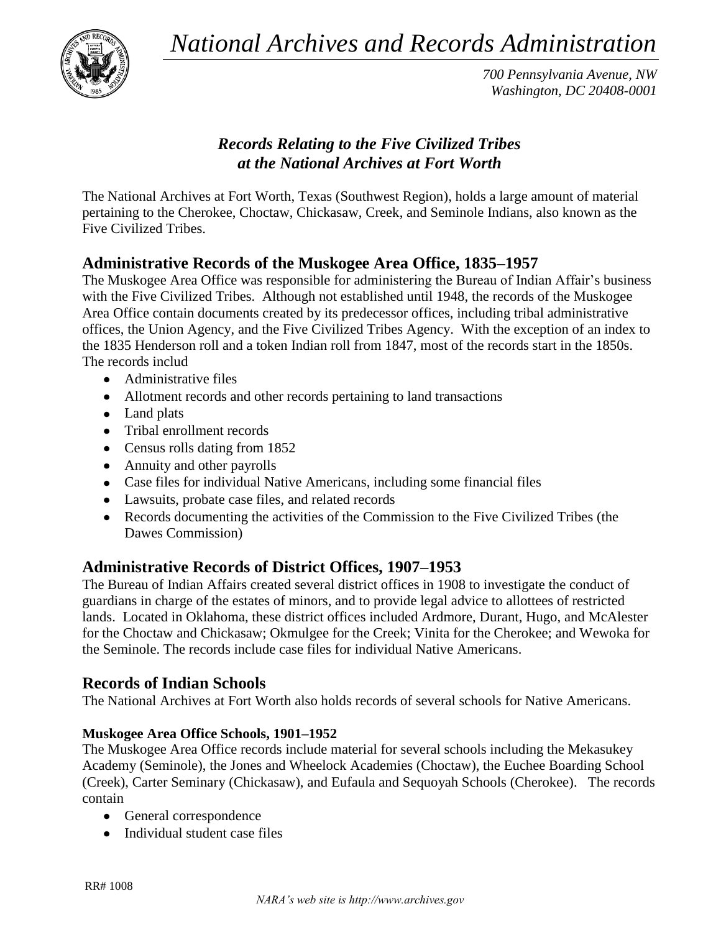*National Archives and Records Administration*



*700 Pennsylvania Avenue, NW Washington, DC 20408-0001*

# *Records Relating to the Five Civilized Tribes at the National Archives at Fort Worth*

The National Archives at Fort Worth, Texas (Southwest Region), holds a large amount of material pertaining to the Cherokee, Choctaw, Chickasaw, Creek, and Seminole Indians, also known as the Five Civilized Tribes.

# **Administrative Records of the Muskogee Area Office, 1835–1957**

The Muskogee Area Office was responsible for administering the Bureau of Indian Affair's business with the Five Civilized Tribes. Although not established until 1948, the records of the Muskogee Area Office contain documents created by its predecessor offices, including tribal administrative offices, the Union Agency, and the Five Civilized Tribes Agency. With the exception of an index to the 1835 Henderson roll and a token Indian roll from 1847, most of the records start in the 1850s. The records includ

- Administrative files
- Allotment records and other records pertaining to land transactions
- Land plats
- Tribal enrollment records
- Census rolls dating from 1852
- Annuity and other payrolls
- Case files for individual Native Americans, including some financial files
- Lawsuits, probate case files, and related records
- Records documenting the activities of the Commission to the Five Civilized Tribes (the Dawes Commission)

## **Administrative Records of District Offices, 1907–1953**

The Bureau of Indian Affairs created several district offices in 1908 to investigate the conduct of guardians in charge of the estates of minors, and to provide legal advice to allottees of restricted lands. Located in Oklahoma, these district offices included Ardmore, Durant, Hugo, and McAlester for the Choctaw and Chickasaw; Okmulgee for the Creek; Vinita for the Cherokee; and Wewoka for the Seminole. The records include case files for individual Native Americans.

## **Records of Indian Schools**

The National Archives at Fort Worth also holds records of several schools for Native Americans.

### **Muskogee Area Office Schools, 1901–1952**

The Muskogee Area Office records include material for several schools including the Mekasukey Academy (Seminole), the Jones and Wheelock Academies (Choctaw), the Euchee Boarding School (Creek), Carter Seminary (Chickasaw), and Eufaula and Sequoyah Schools (Cherokee). The records contain

- General correspondence
- Individual student case files